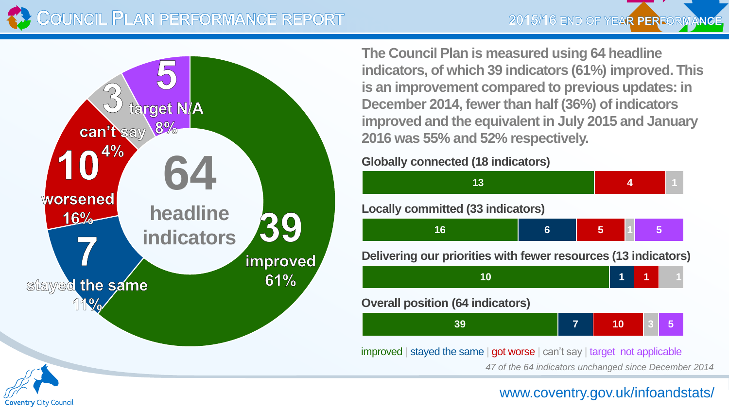





**The Council Plan is measured using 64 headline indicators, of which 39 indicators (61%) improved. This is an improvement compared to previous updates: in December 2014, fewer than half (36%) of indicators improved and the equivalent in July 2015 and January 2016 was 55% and 52% respectively.**

## **Globally connected (18 indicators)**



improved | stayed the same | got worse | can't say | target not applicable

*47 of the 64 indicators unchanged since December 2014*



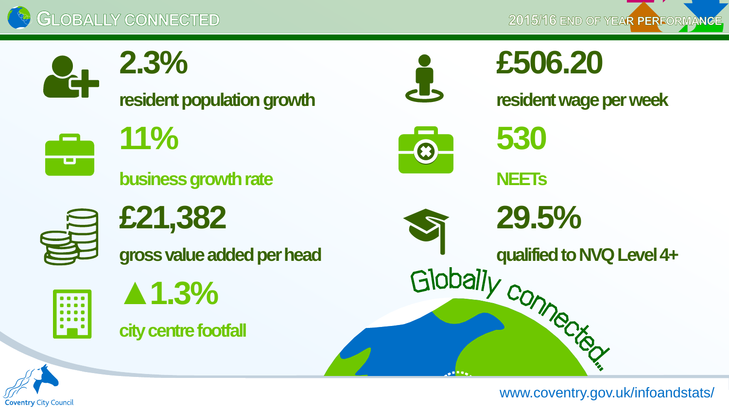

2015/16 END OF YEAR PERFORMANCE



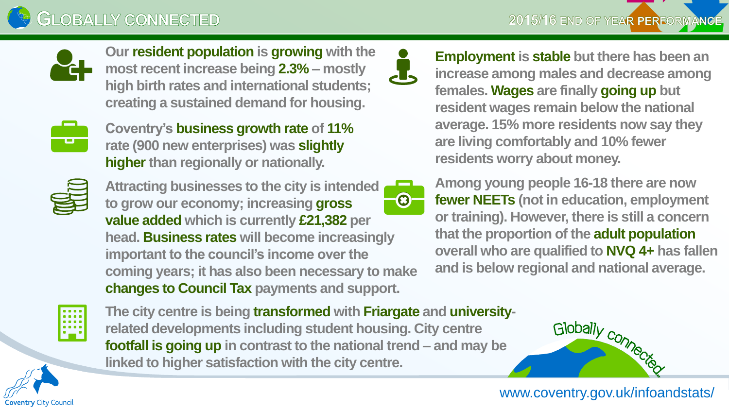



**Our resident population is growing with the most recent increase being 2.3% – mostly high birth rates and international students; creating a sustained demand for housing.**



**Coventry's business growth rate of 11% rate (900 new enterprises) was slightly higher than regionally or nationally.**



**Attracting businesses to the city is intended to grow our economy; increasing gross value added which is currently £21,382 per head. Business rates will become increasingly important to the council's income over the coming years; it has also been necessary to make changes to Council Tax payments and support.**



**Employment is stable but there has been an increase among males and decrease among females. Wages are finally going up but resident wages remain below the national average. 15% more residents now say they are living comfortably and 10% fewer residents worry about money.**

**Among young people 16-18 there are now fewer NEETs (not in education, employment or training). However, there is still a concern that the proportion of the adult population overall who are qualified to NVQ 4+ has fallen and is below regional and national average.**



**Coventry City Council** 

**The city centre is being transformed with Friargate and universityrelated developments including student housing. City centre footfall is going up in contrast to the national trend – and may be linked to higher satisfaction with the city centre.**

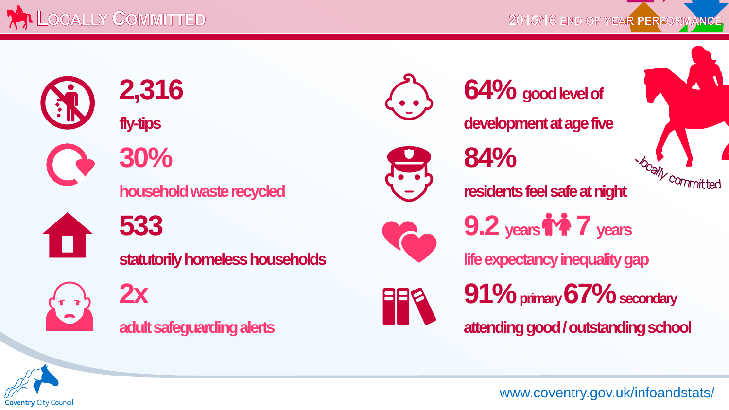

2015/16 END OF YEAR PERFORMANCE



 $\bullet$ 



**statutorily homeless households life expectancy inequality gap** 





**fly-tips development at age five** 



*Acally committed* **household waste recycled residents feel safe at night** 



**533 9.2 years 7 years**



**2x 91%**  $\frac{91\%}{\text{primary 67\% secondary}}$  **adult safeguarding alerts attending good / outstanding school** 

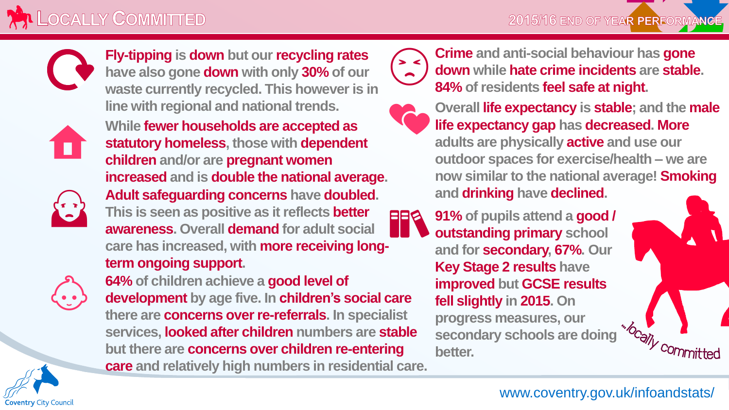

**Fly-tipping is down but our recycling rates have also gone down with only 30% of our waste currently recycled. This however is in line with regional and national trends.**



 $\left(\frac{1}{2}\right)$ 

**While fewer households are accepted as statutory homeless, those with dependent children and/or are pregnant women increased and is double the national average. Adult safeguarding concerns have doubled. This is seen as positive as it reflects better awareness. Overall demand for adult social care has increased, with more receiving longterm ongoing support.**



**Coventry City Council** 

**64% of children achieve a good level of development by age five. In children's social care there are concerns over re-referrals. In specialist services, looked after children numbers are stable but there are concerns over children re-entering care and relatively high numbers in residential care.**



**Crime and anti-social behaviour has gone down while hate crime incidents are stable. 84% of residents feel safe at night.**



**Overall life expectancy is stable; and the male life expectancy gap has decreased. More adults are physically active and use our outdoor spaces for exercise/health – we are now similar to the national average! Smoking and drinking have declined.**

**91% of pupils attend a good / outstanding primary school and for secondary, 67%. Our Key Stage 2 results have improved but GCSE results fell slightly in 2015. On progress measures, our secondary schools are doing better. PRS** 

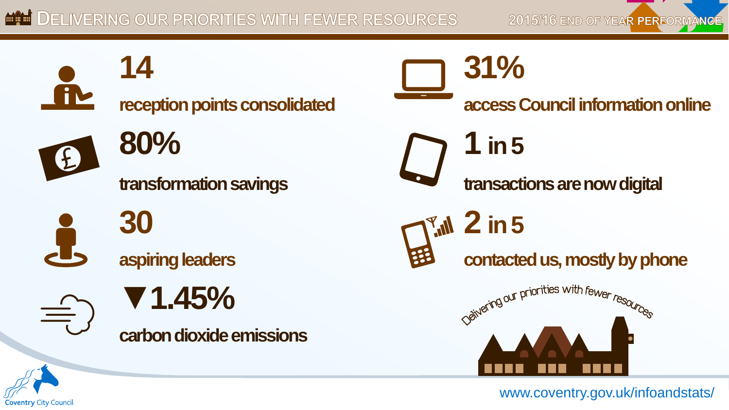2015/16 END OF YEAR PERFORMANCE

**14 31%** Ă **reception points consolidated access Council information online 80%** 1 in 5 transformation savings **transactions** are now digital **30 2 in 5 aspiring leaders** contacted us, mostly by phone Seivering our priorities with fewer resources **▼1.45%**  $\bigoplus$ carbon dioxide emissions

**Coventry City Council**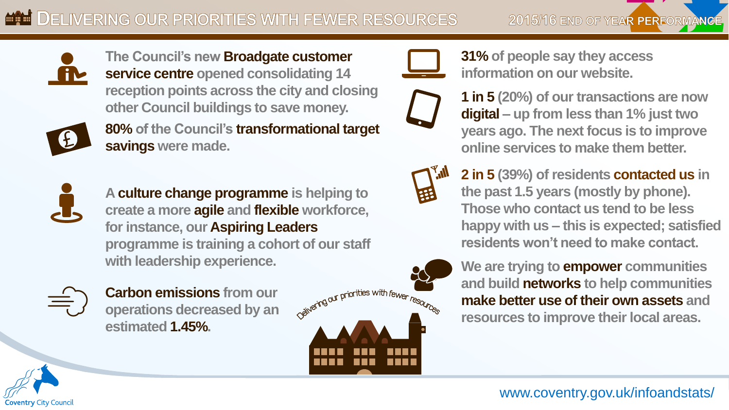



**The Council's new Broadgate customer service centre opened consolidating 14 reception points across the city and closing other Council buildings to save money.**



**80% of the Council's transformational target savings were made.**



**A culture change programme is helping to create a more agile and flexible workforce, for instance, our Aspiring Leaders programme is training a cohort of our staff with leadership experience.**



**Coventry City Council** 

**Carbon emissions from our operations decreased by an estimated 1.45%.**





**31% of people say they access information on our website.**



**1 in 5 (20%) of our transactions are now digital – up from less than 1% just two years ago. The next focus is to improve online services to make them better.**



**2 in 5 (39%) of residents contacted us in the past 1.5 years (mostly by phone). Those who contact us tend to be less happy with us – this is expected; satisfied residents won't need to make contact.**



**We are trying to empower communities and build networks to help communities make better use of their own assets and resources to improve their local areas.**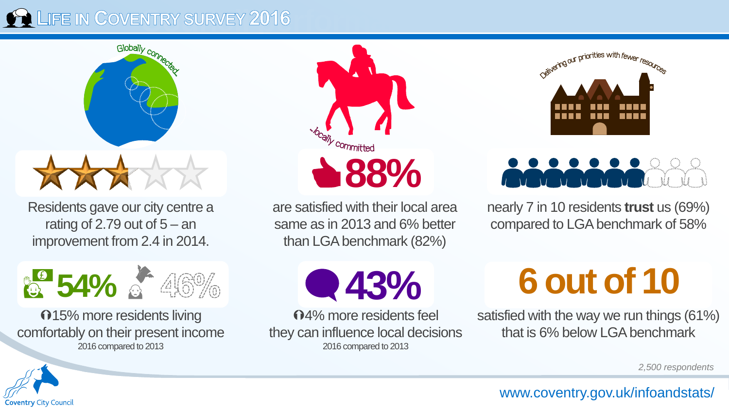## **COULD THE IN COVENTRY SURVEY 2016**



 **39% 54%88%** Residents gave our city centre a rating of 2.79 out of  $5 - an$ improvement from 2.4 in 2014.



**015%** more residents living comfortably on their present income 2016 compared to 2013



are satisfied with their local area same as in 2013 and 6% better than LGA benchmark (82%)

**43%**

4% more residents feel they can influence local decisions 2016 compared to 2013



## $\mu$   $\mu$   $\mu$   $\mu$   $\mu$   $\mu$

nearly 7 in 10 residents **trust** us (69%) compared to LGA benchmark of 58%

**6 out of 10**

satisfied with the way we run things (61%) that is 6% below LGA benchmark

*2,500 respondents*